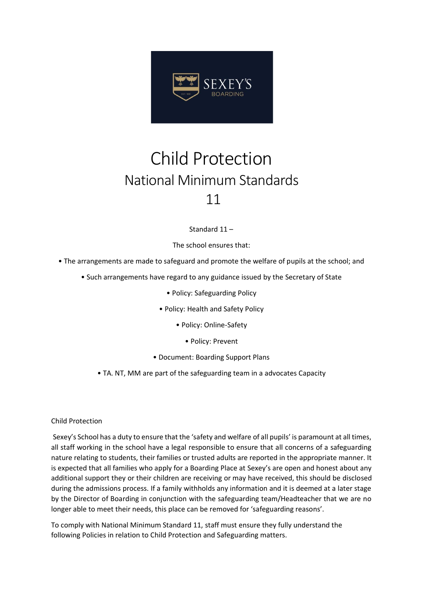

## Child Protection National Minimum Standards 11

Standard 11 –

The school ensures that:

- The arrangements are made to safeguard and promote the welfare of pupils at the school; and
	- Such arrangements have regard to any guidance issued by the Secretary of State
		- Policy: Safeguarding Policy
		- Policy: Health and Safety Policy
			- Policy: Online-Safety
				- Policy: Prevent
		- Document: Boarding Support Plans
		- TA. NT, MM are part of the safeguarding team in a advocates Capacity

## Child Protection

Sexey's School has a duty to ensure that the 'safety and welfare of all pupils' is paramount at all times, all staff working in the school have a legal responsible to ensure that all concerns of a safeguarding nature relating to students, their families or trusted adults are reported in the appropriate manner. It is expected that all families who apply for a Boarding Place at Sexey's are open and honest about any additional support they or their children are receiving or may have received, this should be disclosed during the admissions process. If a family withholds any information and it is deemed at a later stage by the Director of Boarding in conjunction with the safeguarding team/Headteacher that we are no longer able to meet their needs, this place can be removed for 'safeguarding reasons'.

To comply with National Minimum Standard 11, staff must ensure they fully understand the following Policies in relation to Child Protection and Safeguarding matters.